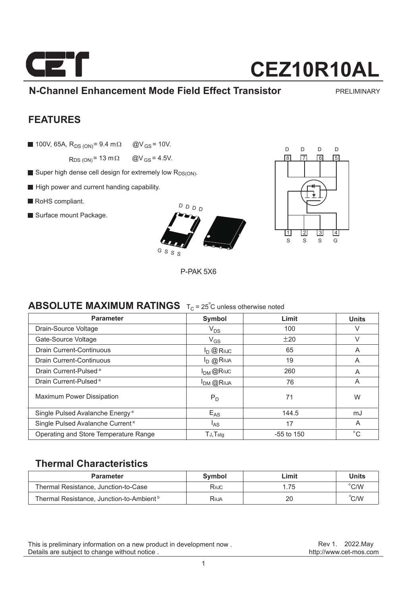

### **N-Channel Enhancement Mode Field Effect Transistor**

PRELIMINARY

### **FEATURES**

100V, 65A,  $R_{DS (ON)} = 9.4$  m $\Omega$  @V<sub>GS</sub> = 10V.

 $R_{DS (ON)} = 13 m\Omega$  @V<sub>GS</sub> = 4.5V.

- Super high dense cell design for extremely low R<sub>DS(ON)</sub>.
- High power and current handing capability.
- RoHS compliant.
- Surface mount Package.



P-PAK 5X6



### **ABSOLUTE MAXIMUM RATINGS**  $T_c = 25^\circ$ C unless otherwise noted

| <b>Parameter</b>                             | Symbol                                                   | Limit        | <b>Units</b> |
|----------------------------------------------|----------------------------------------------------------|--------------|--------------|
| Drain-Source Voltage                         | $V_{DS}$                                                 | 100          | V            |
| Gate-Source Voltage                          | $V_{GS}$                                                 | ±20          | V            |
| Drain Current-Continuous                     | $I_D$ $@$ R <sub><math>0</math>JC</sub>                  | 65           | A            |
| Drain Current-Continuous                     | $I_D$ @ $R$ <sup><math>\theta</math><math>A</math></sup> | 19           | A            |
| Drain Current-Pulsed <sup>a</sup>            | $I_{DM}$ @Rejc                                           | 260          | A            |
| Drain Current-Pulsed <sup>a</sup>            | $I_{DM}$ @Reja                                           | 76           | A            |
| <b>Maximum Power Dissipation</b>             | $P_D$                                                    | 71           | W            |
| Single Pulsed Avalanche Energy <sup>e</sup>  | $E_{AS}$                                                 | 144.5        | mJ           |
| Single Pulsed Avalanche Current <sup>e</sup> | l <sub>AS</sub>                                          | 17           | A            |
| Operating and Store Temperature Range        | TJ, Tstg                                                 | $-55$ to 150 | $^{\circ}$ C |

### **Thermal Characteristics**

| <b>Parameter</b>                                     | Symbol | Limit | <b>Units</b>   |
|------------------------------------------------------|--------|-------|----------------|
| Thermal Resistance, Junction-to-Case                 | RθJC   | .75   | $^{\circ}$ C/W |
| Thermal Resistance, Junction-to-Ambient <sup>b</sup> | R⊕ja   | 20    | C/W            |

This is preliminary information on a new product in development now . Details are subject to change without notice .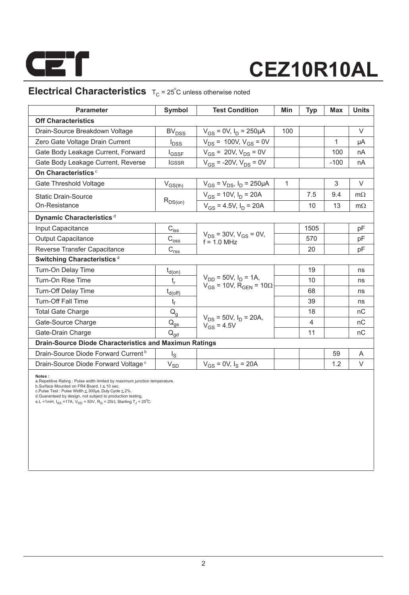

## **Electrical Characteristics**  $T_C = 25^\circ$ C unless otherwise noted

| <b>Parameter</b>                                              | Symbol                                 | <b>Test Condition</b>                                                         | Min          | <b>Typ</b>     | Max    | <b>Units</b> |
|---------------------------------------------------------------|----------------------------------------|-------------------------------------------------------------------------------|--------------|----------------|--------|--------------|
| <b>Off Characteristics</b>                                    |                                        |                                                                               |              |                |        |              |
| Drain-Source Breakdown Voltage                                | <b>BV<sub>DSS</sub></b>                | $V_{GS} = 0V$ , $I_D = 250 \mu A$                                             | 100          |                |        | $\vee$       |
| Zero Gate Voltage Drain Current                               | $I_{DSS}$                              | $V_{DS}$ = 100V, $V_{GS}$ = 0V                                                |              |                | 1      | μA           |
| Gate Body Leakage Current, Forward                            | <b>I</b> GSSF                          | $V_{GS}$ = 20V, $V_{DS}$ = 0V                                                 |              |                | 100    | nA           |
| Gate Body Leakage Current, Reverse                            | <b>IGSSR</b>                           | $V_{GS}$ = -20V, $V_{DS}$ = 0V                                                |              |                | $-100$ | nA           |
| On Characteristics <sup>c</sup>                               |                                        |                                                                               |              |                |        |              |
| Gate Threshold Voltage                                        | $V_{GS(th)}$                           | $V_{GS} = V_{DS}$ , $I_D = 250 \mu A$                                         | $\mathbf{1}$ |                | 3      | V            |
| <b>Static Drain-Source</b>                                    |                                        | $V_{GS}$ = 10V, $I_D$ = 20A                                                   |              | 7.5            | 9.4    | $m\Omega$    |
| On-Resistance                                                 | $R_{DS(on)}$                           | $V_{GS}$ = 4.5V, $I_D$ = 20A                                                  |              | 10             | 13     | $m\Omega$    |
| Dynamic Characteristics <sup>d</sup>                          |                                        |                                                                               |              |                |        |              |
| Input Capacitance                                             | $C_{i\underline{s}\underline{s}}$      |                                                                               |              | 1505           |        | pF           |
| <b>Output Capacitance</b>                                     | $\mathrm{C_{os\underline{s}}}$         | $V_{DS}$ = 30V, $V_{GS}$ = 0V,<br>$f = 10 MHz$                                |              | 570            |        | pF           |
| Reverse Transfer Capacitance                                  | $C_{rs\underline{s}}$                  |                                                                               |              | 20             |        | pF           |
| Switching Characteristics <sup>d</sup>                        |                                        |                                                                               |              |                |        |              |
| Turn-On Delay Time                                            | $t_{d(on)}$                            |                                                                               |              | 19             |        | ns           |
| Turn-On Rise Time                                             | t,                                     | $V_{DD}$ = 50V, $I_D$ = 1A,<br>$V_{GS}$ = 10V, R <sub>GEN</sub> = 10 $\Omega$ |              | 10             |        | ns           |
| <b>Turn-Off Delay Time</b>                                    | $t_{d(\text{off})}$                    |                                                                               |              | 68             |        | ns           |
| <b>Turn-Off Fall Time</b>                                     | t <sub>f</sub>                         |                                                                               |              | 39             |        | ns           |
| <b>Total Gate Charge</b>                                      | $\mathsf{Q}_{\mathsf{g}}$              |                                                                               |              | 18             |        | nC           |
| Gate-Source Charge                                            | $\mathsf{Q}_{\underline{\mathsf{gs}}}$ | $V_{DS}$ = 50V, $I_D$ = 20A,<br>$V_{GS} = 4.5V$                               |              | $\overline{4}$ |        | nC           |
| Gate-Drain Charge                                             | $\mathsf{Q}_{\mathsf{qd}}$             |                                                                               |              | 11             |        | nC           |
| <b>Drain-Source Diode Characteristics and Maximun Ratings</b> |                                        |                                                                               |              |                |        |              |
| Drain-Source Diode Forward Current <sup>b</sup>               | $I_{\rm S}$                            |                                                                               |              |                | 59     | A            |
| Drain-Source Diode Forward Voltage <sup>c</sup>               | $V_{SD}$                               | $V_{GS} = 0V$ , $I_S = 20A$                                                   |              |                | 1.2    | V            |

**Notes :**<br> **Alches :**<br>
a.Repetitive Rating : Pulse width limited by maximum junction temperature.<br>
b.Surface Mounted on FR4 Board, t ≤ 10 sec.<br>
c.Pulse Test : Pulse Width ≤ 300µs, Duty Cyde ≤ 2%.<br>
d.Guaranteed by design,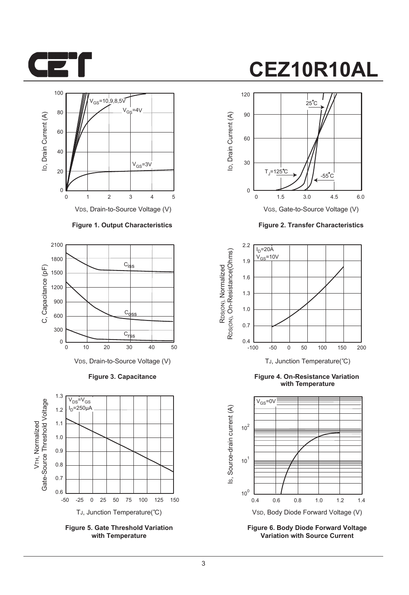



VDS, Drain-to-Source Voltage (V)

#### **Figure 1. Output Characteristics**



**Figure 3. Capacitance**



**Figure 5. Gate Threshold Variation with Temperature**

# **CEZ10R10AL**



VGS, Gate-to-Source Voltage (V)

**Figure 2. Transfer Characteristics**



**Figure 4. On-Resistance Variation with Temperature**



**Figure 6. Body Diode Forward Voltage Variation with Source Current**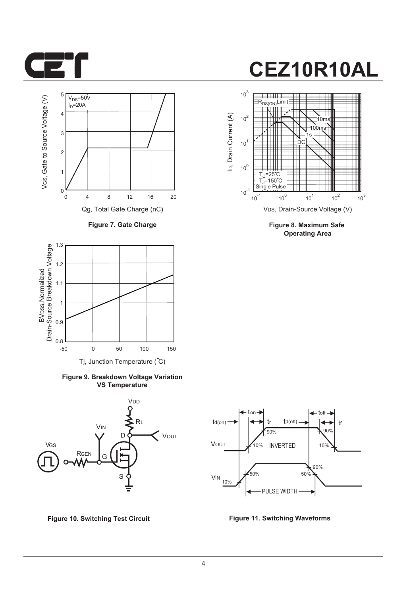



**Figure 7. Gate Charge**



**Figure 9. Breakdown Voltage Variation VS Temperature**





**Figure 8. Maximum Safe Operating Area**



**Figure 10. Switching Test Circuit Figure 11. Switching Waveforms**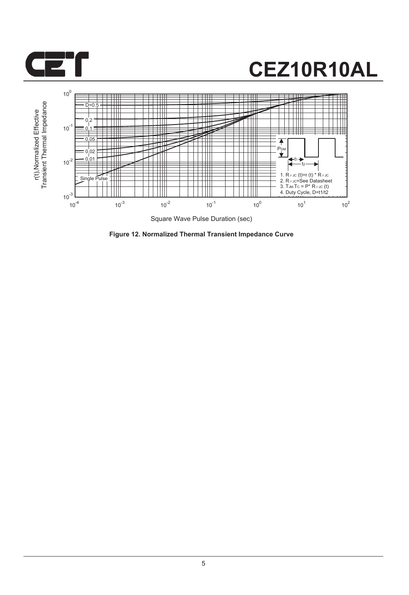



**Figure 12. Normalized Thermal Transient Impedance Curve**